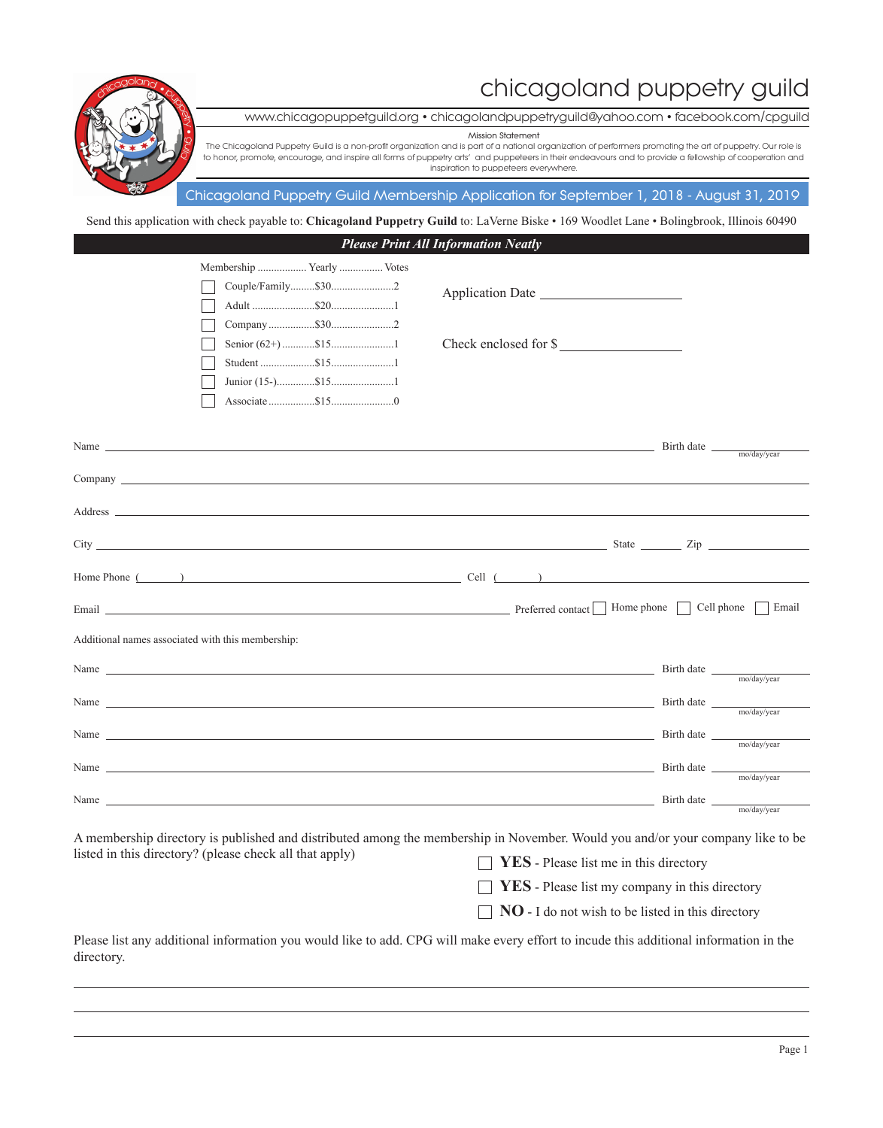## chicagoland puppetry guild



www.chicagopuppetguild.org • chicagolandpuppetryguild@yahoo.com • facebook.com/cpguild

**Mission Statement**

The Chicagoland Puppetry Guild is a non-profit organization and is part of a national organization of performers promoting the art of puppetry. Our role is to honor, promote, encourage, and inspire all forms of puppetry arts' and puppeteers in their endeavours and to provide a fellowship of cooperation and inspiration to puppeteers everywhere.

## **Chicagoland Puppetry Guild Membership Application for September 1, 2018 - August 31, 2019**

Send this application with check payable to: **Chicagoland Puppetry Guild** to: LaVerne Biske • 169 Woodlet Lane • Bolingbrook, Illinois 60490

|            |                                                                                                                                                                                                                                      |                      | <b>Please Print All Information Neatly</b>                                                                                                                                                                                     |            |             |
|------------|--------------------------------------------------------------------------------------------------------------------------------------------------------------------------------------------------------------------------------------|----------------------|--------------------------------------------------------------------------------------------------------------------------------------------------------------------------------------------------------------------------------|------------|-------------|
|            |                                                                                                                                                                                                                                      |                      |                                                                                                                                                                                                                                |            |             |
|            |                                                                                                                                                                                                                                      |                      |                                                                                                                                                                                                                                |            |             |
|            |                                                                                                                                                                                                                                      |                      |                                                                                                                                                                                                                                |            |             |
|            |                                                                                                                                                                                                                                      |                      |                                                                                                                                                                                                                                |            |             |
|            |                                                                                                                                                                                                                                      | Senior $(62+)$ 515 1 | Check enclosed for \$                                                                                                                                                                                                          |            |             |
|            |                                                                                                                                                                                                                                      |                      |                                                                                                                                                                                                                                |            |             |
|            |                                                                                                                                                                                                                                      |                      |                                                                                                                                                                                                                                |            |             |
|            |                                                                                                                                                                                                                                      |                      |                                                                                                                                                                                                                                |            |             |
|            |                                                                                                                                                                                                                                      |                      |                                                                                                                                                                                                                                |            |             |
|            |                                                                                                                                                                                                                                      |                      | Name $\Box$                                                                                                                                                                                                                    | Birth date | mo/day/year |
|            | $\mathbf{Comparing}$ $\Box$                                                                                                                                                                                                          |                      |                                                                                                                                                                                                                                |            |             |
|            |                                                                                                                                                                                                                                      |                      |                                                                                                                                                                                                                                |            |             |
|            |                                                                                                                                                                                                                                      |                      |                                                                                                                                                                                                                                |            |             |
|            |                                                                                                                                                                                                                                      |                      | Home Phone $($ $)$                                                                                                                                                                                                             |            |             |
|            |                                                                                                                                                                                                                                      |                      |                                                                                                                                                                                                                                |            |             |
|            | Email <u>contract the contract of the contract of the contract of the contract of the contract of the contract of the contract of the contract of the contract of the contract of the contract of the contract of the contract o</u> |                      | Preferred contact   Home phone   Cell phone   Email                                                                                                                                                                            |            |             |
|            | Additional names associated with this membership:                                                                                                                                                                                    |                      |                                                                                                                                                                                                                                |            |             |
|            |                                                                                                                                                                                                                                      |                      |                                                                                                                                                                                                                                |            |             |
|            |                                                                                                                                                                                                                                      |                      |                                                                                                                                                                                                                                |            |             |
|            |                                                                                                                                                                                                                                      |                      | Name Birth date <sub>mo/day/year</sub> Birth date <sub>mo/day/year</sub>                                                                                                                                                       |            |             |
|            |                                                                                                                                                                                                                                      |                      |                                                                                                                                                                                                                                |            |             |
|            |                                                                                                                                                                                                                                      |                      | Name Birth date <sub>mo/day/year</sub> Birth date <sub>mo/day/year</sub>                                                                                                                                                       |            |             |
|            |                                                                                                                                                                                                                                      |                      |                                                                                                                                                                                                                                |            |             |
|            |                                                                                                                                                                                                                                      |                      | Name Birth date <sub>mo/day/year</sub> Birth date <sub>mo/day/year</sub>                                                                                                                                                       |            |             |
|            |                                                                                                                                                                                                                                      |                      | Name Simple and Seconds and Seconds and Seconds and Seconds and Seconds and Seconds and Seconds and Seconds and Seconds and Seconds and Seconds and Seconds and Seconds and Seconds and Seconds and Seconds and Seconds and Se |            |             |
|            |                                                                                                                                                                                                                                      |                      |                                                                                                                                                                                                                                |            | mo/day/year |
|            |                                                                                                                                                                                                                                      |                      | A membership directory is published and distributed among the membership in November. Would you and/or your company like to be                                                                                                 |            |             |
|            | listed in this directory? (please check all that apply)                                                                                                                                                                              |                      | YES - Please list me in this directory                                                                                                                                                                                         |            |             |
|            |                                                                                                                                                                                                                                      |                      | <b>YES</b> - Please list my company in this directory                                                                                                                                                                          |            |             |
|            |                                                                                                                                                                                                                                      |                      | <b>NO</b> - I do not wish to be listed in this directory                                                                                                                                                                       |            |             |
|            |                                                                                                                                                                                                                                      |                      |                                                                                                                                                                                                                                |            |             |
| directory. |                                                                                                                                                                                                                                      |                      | Please list any additional information you would like to add. CPG will make every effort to incude this additional information in the                                                                                          |            |             |
|            |                                                                                                                                                                                                                                      |                      |                                                                                                                                                                                                                                |            |             |